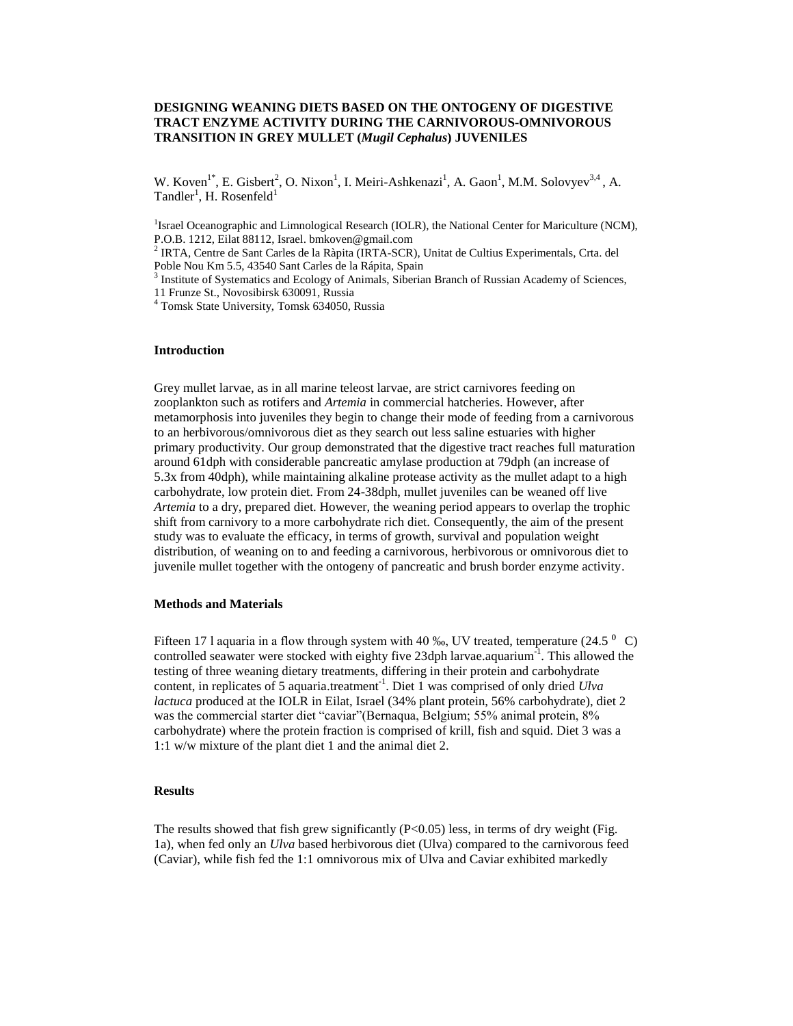# **DESIGNING WEANING DIETS BASED ON THE ONTOGENY OF DIGESTIVE TRACT ENZYME ACTIVITY DURING THE CARNIVOROUS-OMNIVOROUS TRANSITION IN GREY MULLET (***Mugil Cephalus***) JUVENILES**

W. Koven<sup>1\*</sup>, E. Gisbert<sup>2</sup>, O. Nixon<sup>1</sup>, I. Meiri-Ashkenazi<sup>1</sup>, A. Gaon<sup>1</sup>, M.M. Solovyev<sup>3,4</sup>, A. Tandler<sup>1</sup>, H. Rosenfeld<sup>1</sup>

<sup>1</sup> Israel Oceanographic and Limnological Research (IOLR), the National Center for Mariculture (NCM), P.O.B. 1212, Eilat 88112, Israel. bmkoven@gmail.com

<sup>2</sup> IRTA, Centre de Sant Carles de la Ràpita (IRTA-SCR), Unitat de Cultius Experimentals, Crta. del Poble Nou Km 5.5, 43540 Sant Carles de la Rápita, Spain

<sup>3</sup> Institute of Systematics and Ecology of Animals, Siberian Branch of Russian Academy of Sciences, 11 Frunze St., Novosibirsk 630091, Russia

<sup>4</sup> Tomsk State University, Tomsk 634050, Russia

### **Introduction**

Grey mullet larvae, as in all marine teleost larvae, are strict carnivores feeding on zooplankton such as rotifers and *Artemia* in commercial hatcheries. However, after metamorphosis into juveniles they begin to change their mode of feeding from a carnivorous to an herbivorous/omnivorous diet as they search out less saline estuaries with higher primary productivity. Our group demonstrated that the digestive tract reaches full maturation around 61dph with considerable pancreatic amylase production at 79dph (an increase of 5.3x from 40dph), while maintaining alkaline protease activity as the mullet adapt to a high carbohydrate, low protein diet. From 24-38dph, mullet juveniles can be weaned off live *Artemia* to a dry, prepared diet. However, the weaning period appears to overlap the trophic shift from carnivory to a more carbohydrate rich diet. Consequently, the aim of the present study was to evaluate the efficacy, in terms of growth, survival and population weight distribution, of weaning on to and feeding a carnivorous, herbivorous or omnivorous diet to juvenile mullet together with the ontogeny of pancreatic and brush border enzyme activity.

### **Methods and Materials**

Fifteen 17 l aquaria in a flow through system with 40 ‰, UV treated, temperature (24.5  $^{\circ}$  C) controlled seawater were stocked with eighty five 23dph larvae.aquarium<sup>-1</sup>. This allowed the testing of three weaning dietary treatments, differing in their protein and carbohydrate content, in replicates of 5 aquaria.treatment<sup>-1</sup>. Diet 1 was comprised of only dried *Ulva lactuca* produced at the IOLR in Eilat, Israel (34% plant protein, 56% carbohydrate), diet 2 was the commercial starter diet "caviar"(Bernaqua, Belgium; 55% animal protein, 8% carbohydrate) where the protein fraction is comprised of krill, fish and squid. Diet 3 was a 1:1 w/w mixture of the plant diet 1 and the animal diet 2.

## **Results**

The results showed that fish grew significantly  $(P<0.05)$  less, in terms of dry weight (Fig. 1a), when fed only an *Ulva* based herbivorous diet (Ulva) compared to the carnivorous feed (Caviar), while fish fed the 1:1 omnivorous mix of Ulva and Caviar exhibited markedly